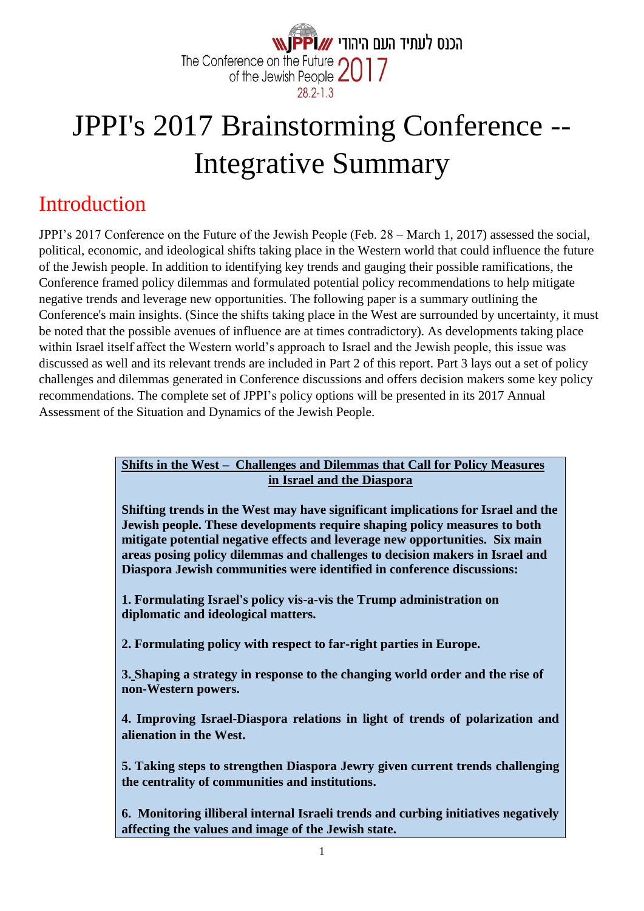

# JPPI's 2017 Brainstorming Conference -- Integrative Summary

# Introduction

JPPI's 2017 Conference on the Future of the Jewish People (Feb. 28 – March 1, 2017) assessed the social, political, economic, and ideological shifts taking place in the Western world that could influence the future of the Jewish people. In addition to identifying key trends and gauging their possible ramifications, the Conference framed policy dilemmas and formulated potential policy recommendations to help mitigate negative trends and leverage new opportunities. The following paper is a summary outlining the Conference's main insights. (Since the shifts taking place in the West are surrounded by uncertainty, it must be noted that the possible avenues of influence are at times contradictory). As developments taking place within Israel itself affect the Western world's approach to Israel and the Jewish people, this issue was discussed as well and its relevant trends are included in Part 2 of this report. Part 3 lays out a set of policy challenges and dilemmas generated in Conference discussions and offers decision makers some key policy recommendations. The complete set of JPPI's policy options will be presented in its 2017 Annual Assessment of the Situation and Dynamics of the Jewish People.

#### **Shifts in the West – Challenges and Dilemmas that Call for Policy Measures in Israel and the Diaspora**

**Shifting trends in the West may have significant implications for Israel and the Jewish people. These developments require shaping policy measures to both mitigate potential negative effects and leverage new opportunities. Six main areas posing policy dilemmas and challenges to decision makers in Israel and Diaspora Jewish communities were identified in conference discussions:** 

**1. Formulating Israel's policy vis-a-vis the Trump administration on diplomatic and ideological matters.**

**2. Formulating policy with respect to far-right parties in Europe.**

**3. Shaping a strategy in response to the changing world order and the rise of non-Western powers.**

**4. Improving Israel-Diaspora relations in light of trends of polarization and alienation in the West.**

**1. 5. Taking steps to strengthen Diaspora Jewry given current trends challenging the centrality of communities and institutions.**

**2. 6. Monitoring illiberal internal Israeli trends and curbing initiatives negatively affecting the values and image of the Jewish state.**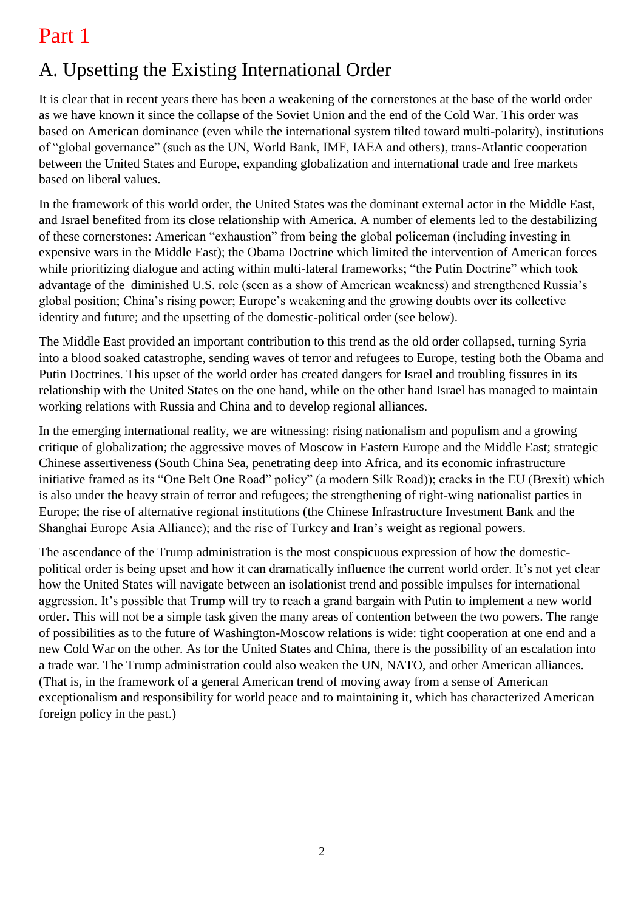# Part 1

# A. Upsetting the Existing International Order

It is clear that in recent years there has been a weakening of the cornerstones at the base of the world order as we have known it since the collapse of the Soviet Union and the end of the Cold War. This order was based on American dominance (even while the international system tilted toward multi-polarity), institutions of "global governance" (such as the UN, World Bank, IMF, IAEA and others), trans-Atlantic cooperation between the United States and Europe, expanding globalization and international trade and free markets based on liberal values.

In the framework of this world order, the United States was the dominant external actor in the Middle East, and Israel benefited from its close relationship with America. A number of elements led to the destabilizing of these cornerstones: American "exhaustion" from being the global policeman (including investing in expensive wars in the Middle East); the Obama Doctrine which limited the intervention of American forces while prioritizing dialogue and acting within multi-lateral frameworks; "the Putin Doctrine" which took advantage of the diminished U.S. role (seen as a show of American weakness) and strengthened Russia's global position; China's rising power; Europe's weakening and the growing doubts over its collective identity and future; and the upsetting of the domestic-political order (see below).

The Middle East provided an important contribution to this trend as the old order collapsed, turning Syria into a blood soaked catastrophe, sending waves of terror and refugees to Europe, testing both the Obama and Putin Doctrines. This upset of the world order has created dangers for Israel and troubling fissures in its relationship with the United States on the one hand, while on the other hand Israel has managed to maintain working relations with Russia and China and to develop regional alliances.

In the emerging international reality, we are witnessing: rising nationalism and populism and a growing critique of globalization; the aggressive moves of Moscow in Eastern Europe and the Middle East; strategic Chinese assertiveness (South China Sea, penetrating deep into Africa, and its economic infrastructure initiative framed as its "One Belt One Road" policy" (a modern Silk Road)); cracks in the EU (Brexit) which is also under the heavy strain of terror and refugees; the strengthening of right-wing nationalist parties in Europe; the rise of alternative regional institutions (the Chinese Infrastructure Investment Bank and the Shanghai Europe Asia Alliance); and the rise of Turkey and Iran's weight as regional powers.

The ascendance of the Trump administration is the most conspicuous expression of how the domesticpolitical order is being upset and how it can dramatically influence the current world order. It's not yet clear how the United States will navigate between an isolationist trend and possible impulses for international aggression. It's possible that Trump will try to reach a grand bargain with Putin to implement a new world order. This will not be a simple task given the many areas of contention between the two powers. The range of possibilities as to the future of Washington-Moscow relations is wide: tight cooperation at one end and a new Cold War on the other. As for the United States and China, there is the possibility of an escalation into a trade war. The Trump administration could also weaken the UN, NATO, and other American alliances. (That is, in the framework of a general American trend of moving away from a sense of American exceptionalism and responsibility for world peace and to maintaining it, which has characterized American foreign policy in the past.)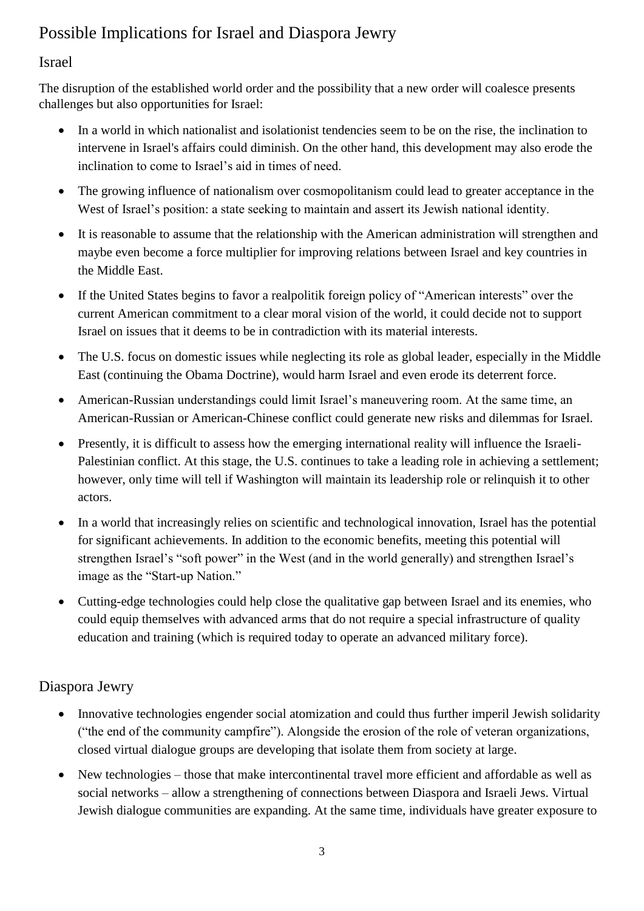# Possible Implications for Israel and Diaspora Jewry

#### Israel

The disruption of the established world order and the possibility that a new order will coalesce presents challenges but also opportunities for Israel:

- In a world in which nationalist and isolationist tendencies seem to be on the rise, the inclination to intervene in Israel's affairs could diminish. On the other hand, this development may also erode the inclination to come to Israel's aid in times of need.
- The growing influence of nationalism over cosmopolitanism could lead to greater acceptance in the West of Israel's position: a state seeking to maintain and assert its Jewish national identity.
- It is reasonable to assume that the relationship with the American administration will strengthen and maybe even become a force multiplier for improving relations between Israel and key countries in the Middle East.
- If the United States begins to favor a realpolitik foreign policy of "American interests" over the current American commitment to a clear moral vision of the world, it could decide not to support Israel on issues that it deems to be in contradiction with its material interests.
- The U.S. focus on domestic issues while neglecting its role as global leader, especially in the Middle East (continuing the Obama Doctrine), would harm Israel and even erode its deterrent force.
- American-Russian understandings could limit Israel's maneuvering room. At the same time, an American-Russian or American-Chinese conflict could generate new risks and dilemmas for Israel.
- Presently, it is difficult to assess how the emerging international reality will influence the Israeli-Palestinian conflict. At this stage, the U.S. continues to take a leading role in achieving a settlement; however, only time will tell if Washington will maintain its leadership role or relinquish it to other actors.
- In a world that increasingly relies on scientific and technological innovation, Israel has the potential for significant achievements. In addition to the economic benefits, meeting this potential will strengthen Israel's "soft power" in the West (and in the world generally) and strengthen Israel's image as the "Start-up Nation."
- Cutting-edge technologies could help close the qualitative gap between Israel and its enemies, who could equip themselves with advanced arms that do not require a special infrastructure of quality education and training (which is required today to operate an advanced military force).

#### Diaspora Jewry

- Innovative technologies engender social atomization and could thus further imperil Jewish solidarity ("the end of the community campfire"). Alongside the erosion of the role of veteran organizations, closed virtual dialogue groups are developing that isolate them from society at large.
- New technologies those that make intercontinental travel more efficient and affordable as well as social networks – allow a strengthening of connections between Diaspora and Israeli Jews. Virtual Jewish dialogue communities are expanding. At the same time, individuals have greater exposure to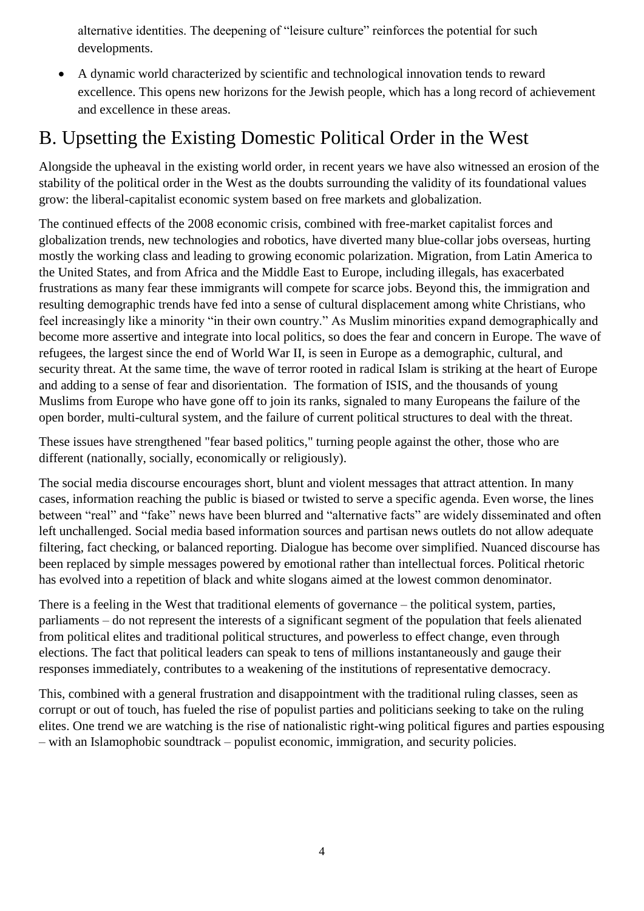alternative identities. The deepening of "leisure culture" reinforces the potential for such developments.

• A dynamic world characterized by scientific and technological innovation tends to reward excellence. This opens new horizons for the Jewish people, which has a long record of achievement and excellence in these areas.

# B. Upsetting the Existing Domestic Political Order in the West

Alongside the upheaval in the existing world order, in recent years we have also witnessed an erosion of the stability of the political order in the West as the doubts surrounding the validity of its foundational values grow: the liberal-capitalist economic system based on free markets and globalization.

The continued effects of the 2008 economic crisis, combined with free-market capitalist forces and globalization trends, new technologies and robotics, have diverted many blue-collar jobs overseas, hurting mostly the working class and leading to growing economic polarization. Migration, from Latin America to the United States, and from Africa and the Middle East to Europe, including illegals, has exacerbated frustrations as many fear these immigrants will compete for scarce jobs. Beyond this, the immigration and resulting demographic trends have fed into a sense of cultural displacement among white Christians, who feel increasingly like a minority "in their own country." As Muslim minorities expand demographically and become more assertive and integrate into local politics, so does the fear and concern in Europe. The wave of refugees, the largest since the end of World War II, is seen in Europe as a demographic, cultural, and security threat. At the same time, the wave of terror rooted in radical Islam is striking at the heart of Europe and adding to a sense of fear and disorientation. The formation of ISIS, and the thousands of young Muslims from Europe who have gone off to join its ranks, signaled to many Europeans the failure of the open border, multi-cultural system, and the failure of current political structures to deal with the threat.

These issues have strengthened "fear based politics," turning people against the other, those who are different (nationally, socially, economically or religiously).

The social media discourse encourages short, blunt and violent messages that attract attention. In many cases, information reaching the public is biased or twisted to serve a specific agenda. Even worse, the lines between "real" and "fake" news have been blurred and "alternative facts" are widely disseminated and often left unchallenged. Social media based information sources and partisan news outlets do not allow adequate filtering, fact checking, or balanced reporting. Dialogue has become over simplified. Nuanced discourse has been replaced by simple messages powered by emotional rather than intellectual forces. Political rhetoric has evolved into a repetition of black and white slogans aimed at the lowest common denominator.

There is a feeling in the West that traditional elements of governance – the political system, parties, parliaments – do not represent the interests of a significant segment of the population that feels alienated from political elites and traditional political structures, and powerless to effect change, even through elections. The fact that political leaders can speak to tens of millions instantaneously and gauge their responses immediately, contributes to a weakening of the institutions of representative democracy.

This, combined with a general frustration and disappointment with the traditional ruling classes, seen as corrupt or out of touch, has fueled the rise of populist parties and politicians seeking to take on the ruling elites. One trend we are watching is the rise of nationalistic right-wing political figures and parties espousing – with an Islamophobic soundtrack – populist economic, immigration, and security policies.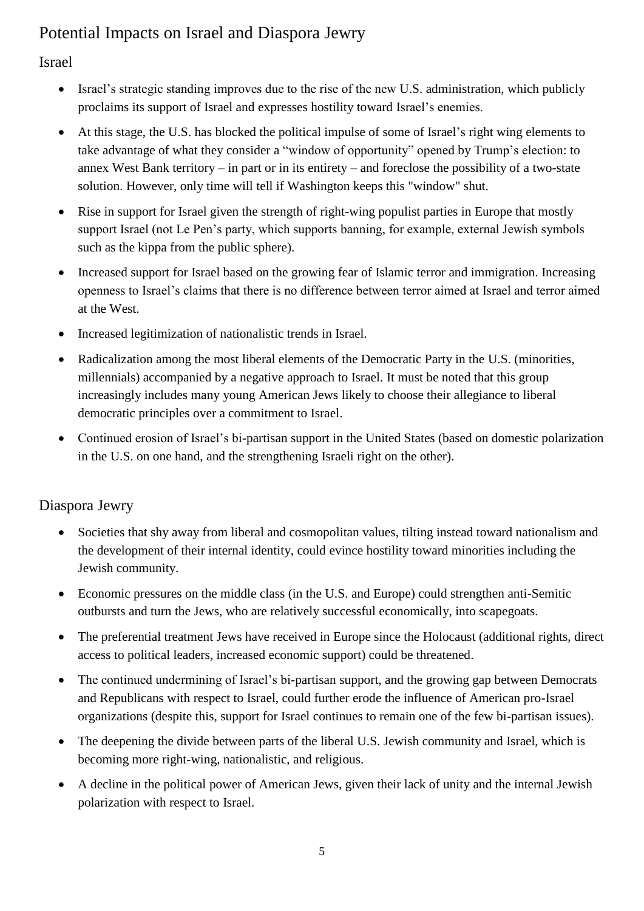# Potential Impacts on Israel and Diaspora Jewry

#### Israel

- Israel's strategic standing improves due to the rise of the new U.S. administration, which publicly proclaims its support of Israel and expresses hostility toward Israel's enemies.
- At this stage, the U.S. has blocked the political impulse of some of Israel's right wing elements to take advantage of what they consider a "window of opportunity" opened by Trump's election: to annex West Bank territory – in part or in its entirety – and foreclose the possibility of a two-state solution. However, only time will tell if Washington keeps this "window" shut.
- Rise in support for Israel given the strength of right-wing populist parties in Europe that mostly support Israel (not Le Pen's party, which supports banning, for example, external Jewish symbols such as the kippa from the public sphere).
- Increased support for Israel based on the growing fear of Islamic terror and immigration. Increasing openness to Israel's claims that there is no difference between terror aimed at Israel and terror aimed at the West.
- Increased legitimization of nationalistic trends in Israel.
- Radicalization among the most liberal elements of the Democratic Party in the U.S. (minorities, millennials) accompanied by a negative approach to Israel. It must be noted that this group increasingly includes many young American Jews likely to choose their allegiance to liberal democratic principles over a commitment to Israel.
- Continued erosion of Israel's bi-partisan support in the United States (based on domestic polarization in the U.S. on one hand, and the strengthening Israeli right on the other).

### Diaspora Jewry

- Societies that shy away from liberal and cosmopolitan values, tilting instead toward nationalism and the development of their internal identity, could evince hostility toward minorities including the Jewish community.
- Economic pressures on the middle class (in the U.S. and Europe) could strengthen anti-Semitic outbursts and turn the Jews, who are relatively successful economically, into scapegoats.
- The preferential treatment Jews have received in Europe since the Holocaust (additional rights, direct access to political leaders, increased economic support) could be threatened.
- The continued undermining of Israel's bi-partisan support, and the growing gap between Democrats and Republicans with respect to Israel, could further erode the influence of American pro-Israel organizations (despite this, support for Israel continues to remain one of the few bi-partisan issues).
- The deepening the divide between parts of the liberal U.S. Jewish community and Israel, which is becoming more right-wing, nationalistic, and religious.
- A decline in the political power of American Jews, given their lack of unity and the internal Jewish polarization with respect to Israel.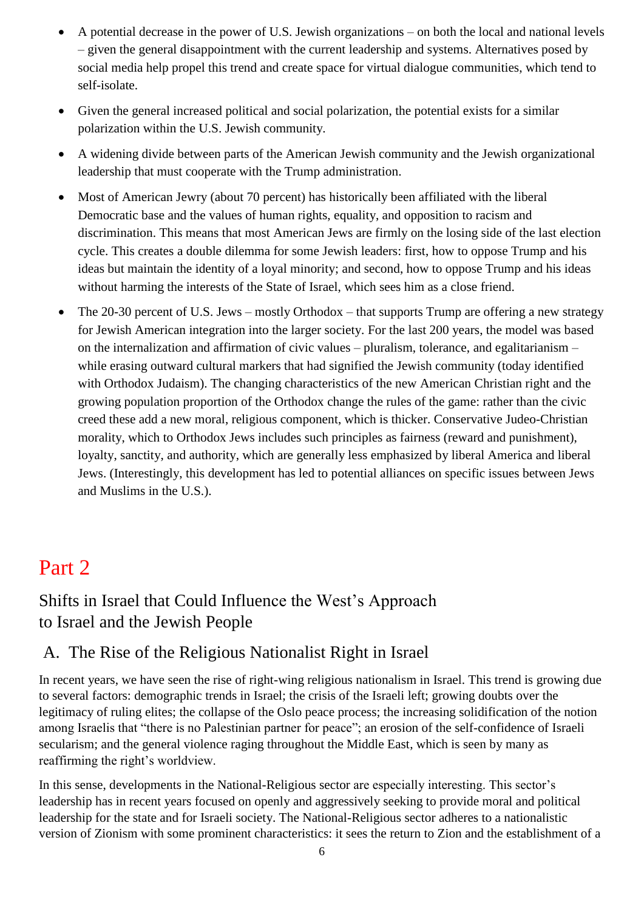- A potential decrease in the power of U.S. Jewish organizations on both the local and national levels – given the general disappointment with the current leadership and systems. Alternatives posed by social media help propel this trend and create space for virtual dialogue communities, which tend to self-isolate.
- Given the general increased political and social polarization, the potential exists for a similar polarization within the U.S. Jewish community.
- A widening divide between parts of the American Jewish community and the Jewish organizational leadership that must cooperate with the Trump administration.
- Most of American Jewry (about 70 percent) has historically been affiliated with the liberal Democratic base and the values of human rights, equality, and opposition to racism and discrimination. This means that most American Jews are firmly on the losing side of the last election cycle. This creates a double dilemma for some Jewish leaders: first, how to oppose Trump and his ideas but maintain the identity of a loyal minority; and second, how to oppose Trump and his ideas without harming the interests of the State of Israel, which sees him as a close friend.
- The 20-30 percent of U.S. Jews mostly Orthodox that supports Trump are offering a new strategy for Jewish American integration into the larger society. For the last 200 years, the model was based on the internalization and affirmation of civic values – pluralism, tolerance, and egalitarianism – while erasing outward cultural markers that had signified the Jewish community (today identified with Orthodox Judaism). The changing characteristics of the new American Christian right and the growing population proportion of the Orthodox change the rules of the game: rather than the civic creed these add a new moral, religious component, which is thicker. Conservative Judeo-Christian morality, which to Orthodox Jews includes such principles as fairness (reward and punishment), loyalty, sanctity, and authority, which are generally less emphasized by liberal America and liberal Jews. (Interestingly, this development has led to potential alliances on specific issues between Jews and Muslims in the U.S.).

# Part 2

# Shifts in Israel that Could Influence the West's Approach to Israel and the Jewish People

# A. The Rise of the Religious Nationalist Right in Israel

In recent years, we have seen the rise of right-wing religious nationalism in Israel. This trend is growing due to several factors: demographic trends in Israel; the crisis of the Israeli left; growing doubts over the legitimacy of ruling elites; the collapse of the Oslo peace process; the increasing solidification of the notion among Israelis that "there is no Palestinian partner for peace"; an erosion of the self-confidence of Israeli secularism; and the general violence raging throughout the Middle East, which is seen by many as reaffirming the right's worldview.

In this sense, developments in the National-Religious sector are especially interesting. This sector's leadership has in recent years focused on openly and aggressively seeking to provide moral and political leadership for the state and for Israeli society. The National-Religious sector adheres to a nationalistic version of Zionism with some prominent characteristics: it sees the return to Zion and the establishment of a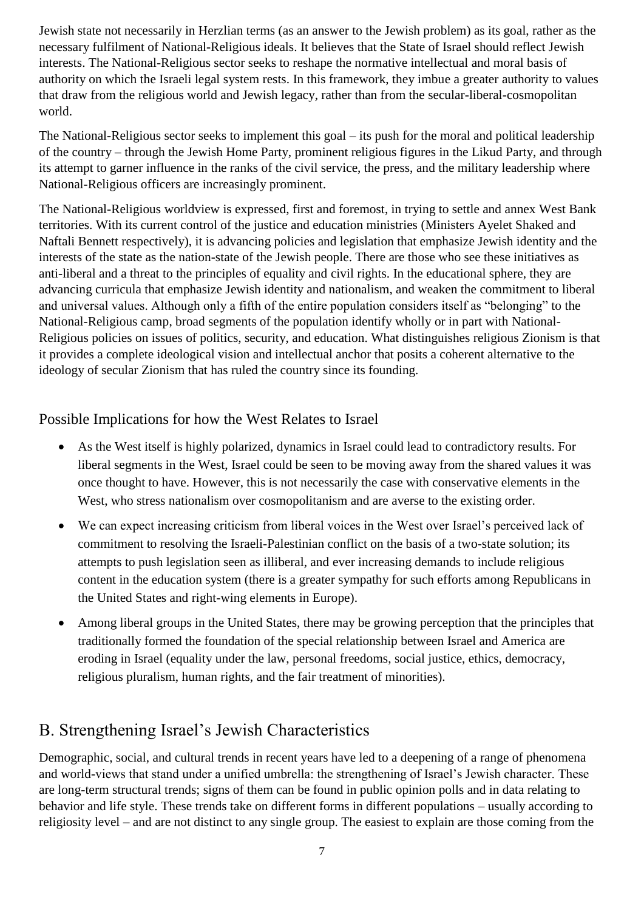Jewish state not necessarily in Herzlian terms (as an answer to the Jewish problem) as its goal, rather as the necessary fulfilment of National-Religious ideals. It believes that the State of Israel should reflect Jewish interests. The National-Religious sector seeks to reshape the normative intellectual and moral basis of authority on which the Israeli legal system rests. In this framework, they imbue a greater authority to values that draw from the religious world and Jewish legacy, rather than from the secular-liberal-cosmopolitan world.

The National-Religious sector seeks to implement this goal – its push for the moral and political leadership of the country – through the Jewish Home Party, prominent religious figures in the Likud Party, and through its attempt to garner influence in the ranks of the civil service, the press, and the military leadership where National-Religious officers are increasingly prominent.

The National-Religious worldview is expressed, first and foremost, in trying to settle and annex West Bank territories. With its current control of the justice and education ministries (Ministers Ayelet Shaked and Naftali Bennett respectively), it is advancing policies and legislation that emphasize Jewish identity and the interests of the state as the nation-state of the Jewish people. There are those who see these initiatives as anti-liberal and a threat to the principles of equality and civil rights. In the educational sphere, they are advancing curricula that emphasize Jewish identity and nationalism, and weaken the commitment to liberal and universal values. Although only a fifth of the entire population considers itself as "belonging" to the National-Religious camp, broad segments of the population identify wholly or in part with National-Religious policies on issues of politics, security, and education. What distinguishes religious Zionism is that it provides a complete ideological vision and intellectual anchor that posits a coherent alternative to the ideology of secular Zionism that has ruled the country since its founding.

#### Possible Implications for how the West Relates to Israel

- As the West itself is highly polarized, dynamics in Israel could lead to contradictory results. For liberal segments in the West, Israel could be seen to be moving away from the shared values it was once thought to have. However, this is not necessarily the case with conservative elements in the West, who stress nationalism over cosmopolitanism and are averse to the existing order.
- We can expect increasing criticism from liberal voices in the West over Israel's perceived lack of commitment to resolving the Israeli-Palestinian conflict on the basis of a two-state solution; its attempts to push legislation seen as illiberal, and ever increasing demands to include religious content in the education system (there is a greater sympathy for such efforts among Republicans in the United States and right-wing elements in Europe).
- Among liberal groups in the United States, there may be growing perception that the principles that traditionally formed the foundation of the special relationship between Israel and America are eroding in Israel (equality under the law, personal freedoms, social justice, ethics, democracy, religious pluralism, human rights, and the fair treatment of minorities).

### B. Strengthening Israel's Jewish Characteristics

Demographic, social, and cultural trends in recent years have led to a deepening of a range of phenomena and world-views that stand under a unified umbrella: the strengthening of Israel's Jewish character. These are long-term structural trends; signs of them can be found in public opinion polls and in data relating to behavior and life style. These trends take on different forms in different populations – usually according to religiosity level – and are not distinct to any single group. The easiest to explain are those coming from the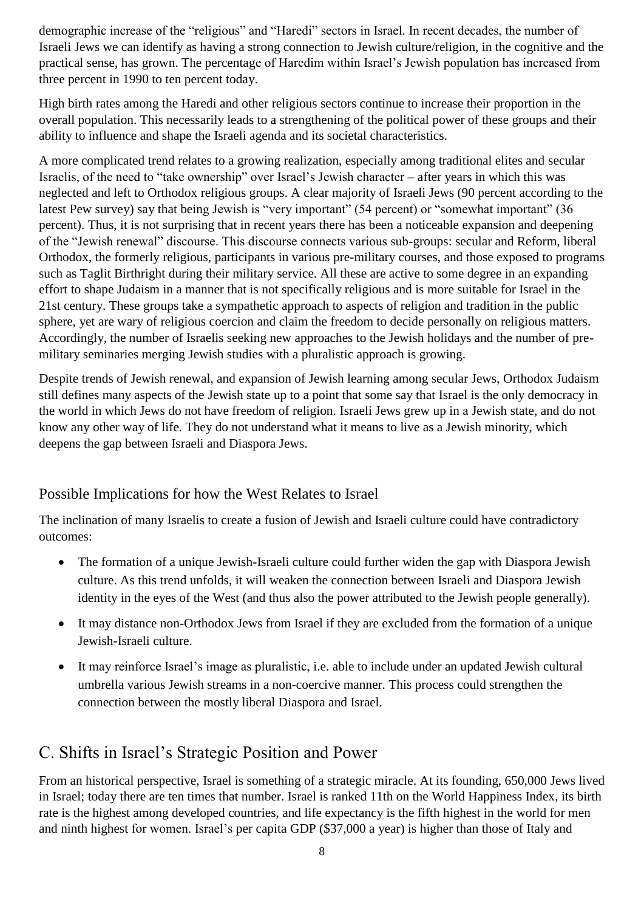demographic increase of the "religious" and "Haredi" sectors in Israel. In recent decades, the number of Israeli Jews we can identify as having a strong connection to Jewish culture/religion, in the cognitive and the practical sense, has grown. The percentage of Haredim within Israel's Jewish population has increased from three percent in 1990 to ten percent today.

High birth rates among the Haredi and other religious sectors continue to increase their proportion in the overall population. This necessarily leads to a strengthening of the political power of these groups and their ability to influence and shape the Israeli agenda and its societal characteristics.

A more complicated trend relates to a growing realization, especially among traditional elites and secular Israelis, of the need to "take ownership" over Israel's Jewish character – after years in which this was neglected and left to Orthodox religious groups. A clear majority of Israeli Jews (90 percent according to the latest Pew survey) say that being Jewish is "very important" (54 percent) or "somewhat important" (36 percent). Thus, it is not surprising that in recent years there has been a noticeable expansion and deepening of the "Jewish renewal" discourse. This discourse connects various sub-groups: secular and Reform, liberal Orthodox, the formerly religious, participants in various pre-military courses, and those exposed to programs such as Taglit Birthright during their military service. All these are active to some degree in an expanding effort to shape Judaism in a manner that is not specifically religious and is more suitable for Israel in the 21st century. These groups take a sympathetic approach to aspects of religion and tradition in the public sphere, yet are wary of religious coercion and claim the freedom to decide personally on religious matters. Accordingly, the number of Israelis seeking new approaches to the Jewish holidays and the number of premilitary seminaries merging Jewish studies with a pluralistic approach is growing.

Despite trends of Jewish renewal, and expansion of Jewish learning among secular Jews, Orthodox Judaism still defines many aspects of the Jewish state up to a point that some say that Israel is the only democracy in the world in which Jews do not have freedom of religion. Israeli Jews grew up in a Jewish state, and do not know any other way of life. They do not understand what it means to live as a Jewish minority, which deepens the gap between Israeli and Diaspora Jews.

#### Possible Implications for how the West Relates to Israel

The inclination of many Israelis to create a fusion of Jewish and Israeli culture could have contradictory outcomes:

- The formation of a unique Jewish-Israeli culture could further widen the gap with Diaspora Jewish culture. As this trend unfolds, it will weaken the connection between Israeli and Diaspora Jewish identity in the eyes of the West (and thus also the power attributed to the Jewish people generally).
- It may distance non-Orthodox Jews from Israel if they are excluded from the formation of a unique Jewish-Israeli culture.
- It may reinforce Israel's image as pluralistic, i.e. able to include under an updated Jewish cultural umbrella various Jewish streams in a non-coercive manner. This process could strengthen the connection between the mostly liberal Diaspora and Israel.

# C. Shifts in Israel's Strategic Position and Power

From an historical perspective, Israel is something of a strategic miracle. At its founding, 650,000 Jews lived in Israel; today there are ten times that number. Israel is ranked 11th on the World Happiness Index, its birth rate is the highest among developed countries, and life expectancy is the fifth highest in the world for men and ninth highest for women. Israel's per capita GDP (\$37,000 a year) is higher than those of Italy and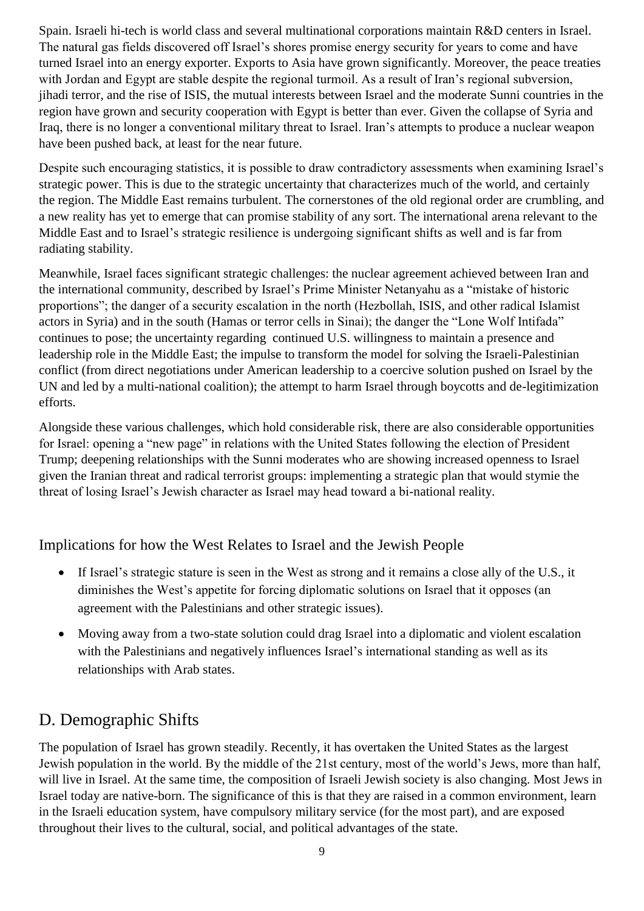Spain. Israeli hi-tech is world class and several multinational corporations maintain R&D centers in Israel. The natural gas fields discovered off Israel's shores promise energy security for years to come and have turned Israel into an energy exporter. Exports to Asia have grown significantly. Moreover, the peace treaties with Jordan and Egypt are stable despite the regional turmoil. As a result of Iran's regional subversion, jihadi terror, and the rise of ISIS, the mutual interests between Israel and the moderate Sunni countries in the region have grown and security cooperation with Egypt is better than ever. Given the collapse of Syria and Iraq, there is no longer a conventional military threat to Israel. Iran's attempts to produce a nuclear weapon have been pushed back, at least for the near future.

Despite such encouraging statistics, it is possible to draw contradictory assessments when examining Israel's strategic power. This is due to the strategic uncertainty that characterizes much of the world, and certainly the region. The Middle East remains turbulent. The cornerstones of the old regional order are crumbling, and a new reality has yet to emerge that can promise stability of any sort. The international arena relevant to the Middle East and to Israel's strategic resilience is undergoing significant shifts as well and is far from radiating stability.

Meanwhile, Israel faces significant strategic challenges: the nuclear agreement achieved between Iran and the international community, described by Israel's Prime Minister Netanyahu as a "mistake of historic proportions"; the danger of a security escalation in the north (Hezbollah, ISIS, and other radical Islamist actors in Syria) and in the south (Hamas or terror cells in Sinai); the danger the "Lone Wolf Intifada" continues to pose; the uncertainty regarding continued U.S. willingness to maintain a presence and leadership role in the Middle East; the impulse to transform the model for solving the Israeli-Palestinian conflict (from direct negotiations under American leadership to a coercive solution pushed on Israel by the UN and led by a multi-national coalition); the attempt to harm Israel through boycotts and de-legitimization efforts.

Alongside these various challenges, which hold considerable risk, there are also considerable opportunities for Israel: opening a "new page" in relations with the United States following the election of President Trump; deepening relationships with the Sunni moderates who are showing increased openness to Israel given the Iranian threat and radical terrorist groups: implementing a strategic plan that would stymie the threat of losing Israel's Jewish character as Israel may head toward a bi-national reality.

Implications for how the West Relates to Israel and the Jewish People

- If Israel's strategic stature is seen in the West as strong and it remains a close ally of the U.S., it diminishes the West's appetite for forcing diplomatic solutions on Israel that it opposes (an agreement with the Palestinians and other strategic issues).
- Moving away from a two-state solution could drag Israel into a diplomatic and violent escalation with the Palestinians and negatively influences Israel's international standing as well as its relationships with Arab states.

# D. Demographic Shifts

The population of Israel has grown steadily. Recently, it has overtaken the United States as the largest Jewish population in the world. By the middle of the 21st century, most of the world's Jews, more than half, will live in Israel. At the same time, the composition of Israeli Jewish society is also changing. Most Jews in Israel today are native-born. The significance of this is that they are raised in a common environment, learn in the Israeli education system, have compulsory military service (for the most part), and are exposed throughout their lives to the cultural, social, and political advantages of the state.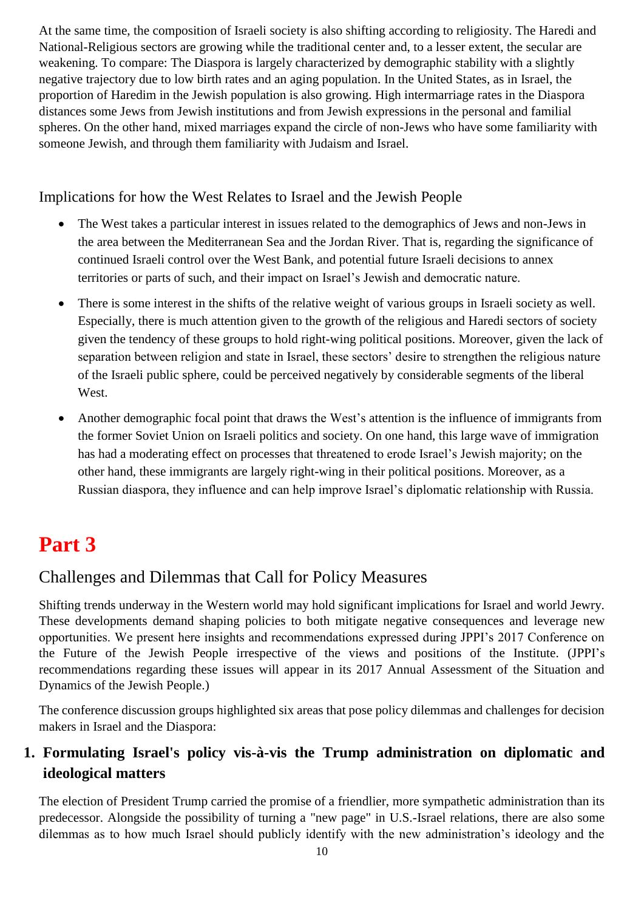At the same time, the composition of Israeli society is also shifting according to religiosity. The Haredi and National-Religious sectors are growing while the traditional center and, to a lesser extent, the secular are weakening. To compare: The Diaspora is largely characterized by demographic stability with a slightly negative trajectory due to low birth rates and an aging population. In the United States, as in Israel, the proportion of Haredim in the Jewish population is also growing. High intermarriage rates in the Diaspora distances some Jews from Jewish institutions and from Jewish expressions in the personal and familial spheres. On the other hand, mixed marriages expand the circle of non-Jews who have some familiarity with someone Jewish, and through them familiarity with Judaism and Israel.

Implications for how the West Relates to Israel and the Jewish People

- The West takes a particular interest in issues related to the demographics of Jews and non-Jews in the area between the Mediterranean Sea and the Jordan River. That is, regarding the significance of continued Israeli control over the West Bank, and potential future Israeli decisions to annex territories or parts of such, and their impact on Israel's Jewish and democratic nature.
- There is some interest in the shifts of the relative weight of various groups in Israeli society as well. Especially, there is much attention given to the growth of the religious and Haredi sectors of society given the tendency of these groups to hold right-wing political positions. Moreover, given the lack of separation between religion and state in Israel, these sectors' desire to strengthen the religious nature of the Israeli public sphere, could be perceived negatively by considerable segments of the liberal West.
- Another demographic focal point that draws the West's attention is the influence of immigrants from the former Soviet Union on Israeli politics and society. On one hand, this large wave of immigration has had a moderating effect on processes that threatened to erode Israel's Jewish majority; on the other hand, these immigrants are largely right-wing in their political positions. Moreover, as a Russian diaspora, they influence and can help improve Israel's diplomatic relationship with Russia.

# **Part 3**

### Challenges and Dilemmas that Call for Policy Measures

Shifting trends underway in the Western world may hold significant implications for Israel and world Jewry. These developments demand shaping policies to both mitigate negative consequences and leverage new opportunities. We present here insights and recommendations expressed during JPPI's 2017 Conference on the Future of the Jewish People irrespective of the views and positions of the Institute. (JPPI's recommendations regarding these issues will appear in its 2017 Annual Assessment of the Situation and Dynamics of the Jewish People.)

The conference discussion groups highlighted six areas that pose policy dilemmas and challenges for decision makers in Israel and the Diaspora:

### **1. Formulating Israel's policy vis-à-vis the Trump administration on diplomatic and ideological matters**

The election of President Trump carried the promise of a friendlier, more sympathetic administration than its predecessor. Alongside the possibility of turning a "new page" in U.S.-Israel relations, there are also some dilemmas as to how much Israel should publicly identify with the new administration's ideology and the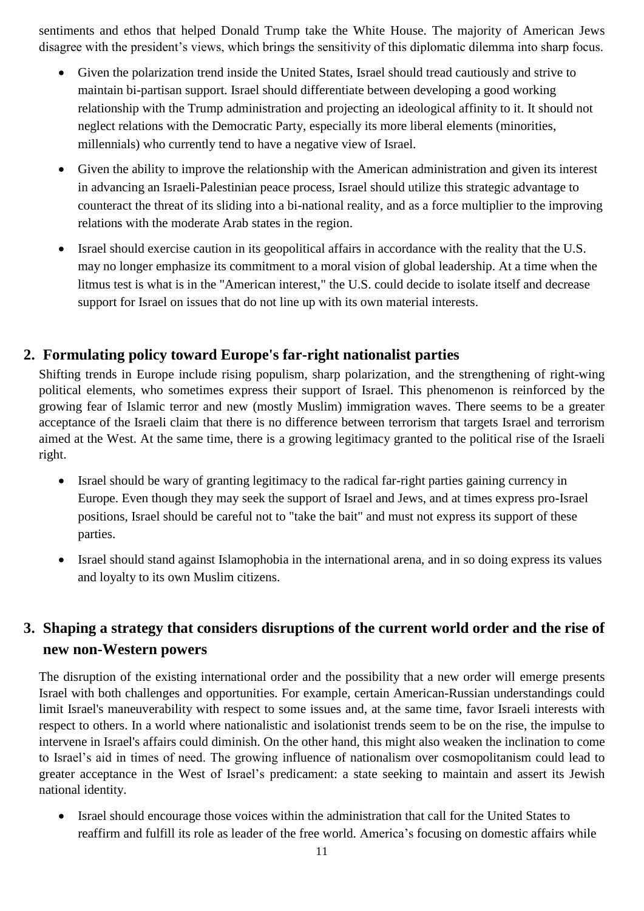sentiments and ethos that helped Donald Trump take the White House. The majority of American Jews disagree with the president's views, which brings the sensitivity of this diplomatic dilemma into sharp focus.

- Given the polarization trend inside the United States, Israel should tread cautiously and strive to maintain bi-partisan support. Israel should differentiate between developing a good working relationship with the Trump administration and projecting an ideological affinity to it. It should not neglect relations with the Democratic Party, especially its more liberal elements (minorities, millennials) who currently tend to have a negative view of Israel.
- Given the ability to improve the relationship with the American administration and given its interest in advancing an Israeli-Palestinian peace process, Israel should utilize this strategic advantage to counteract the threat of its sliding into a bi-national reality, and as a force multiplier to the improving relations with the moderate Arab states in the region.
- Israel should exercise caution in its geopolitical affairs in accordance with the reality that the U.S. may no longer emphasize its commitment to a moral vision of global leadership. At a time when the litmus test is what is in the "American interest," the U.S. could decide to isolate itself and decrease support for Israel on issues that do not line up with its own material interests.

#### **2. Formulating policy toward Europe's far-right nationalist parties**

Shifting trends in Europe include rising populism, sharp polarization, and the strengthening of right-wing political elements, who sometimes express their support of Israel. This phenomenon is reinforced by the growing fear of Islamic terror and new (mostly Muslim) immigration waves. There seems to be a greater acceptance of the Israeli claim that there is no difference between terrorism that targets Israel and terrorism aimed at the West. At the same time, there is a growing legitimacy granted to the political rise of the Israeli right.

- Israel should be wary of granting legitimacy to the radical far-right parties gaining currency in Europe. Even though they may seek the support of Israel and Jews, and at times express pro-Israel positions, Israel should be careful not to "take the bait" and must not express its support of these parties.
- Israel should stand against Islamophobia in the international arena, and in so doing express its values and loyalty to its own Muslim citizens.

#### **3. Shaping a strategy that considers disruptions of the current world order and the rise of new non-Western powers**

The disruption of the existing international order and the possibility that a new order will emerge presents Israel with both challenges and opportunities. For example, certain American-Russian understandings could limit Israel's maneuverability with respect to some issues and, at the same time, favor Israeli interests with respect to others. In a world where nationalistic and isolationist trends seem to be on the rise, the impulse to intervene in Israel's affairs could diminish. On the other hand, this might also weaken the inclination to come to Israel's aid in times of need. The growing influence of nationalism over cosmopolitanism could lead to greater acceptance in the West of Israel's predicament: a state seeking to maintain and assert its Jewish national identity.

• Israel should encourage those voices within the administration that call for the United States to reaffirm and fulfill its role as leader of the free world. America's focusing on domestic affairs while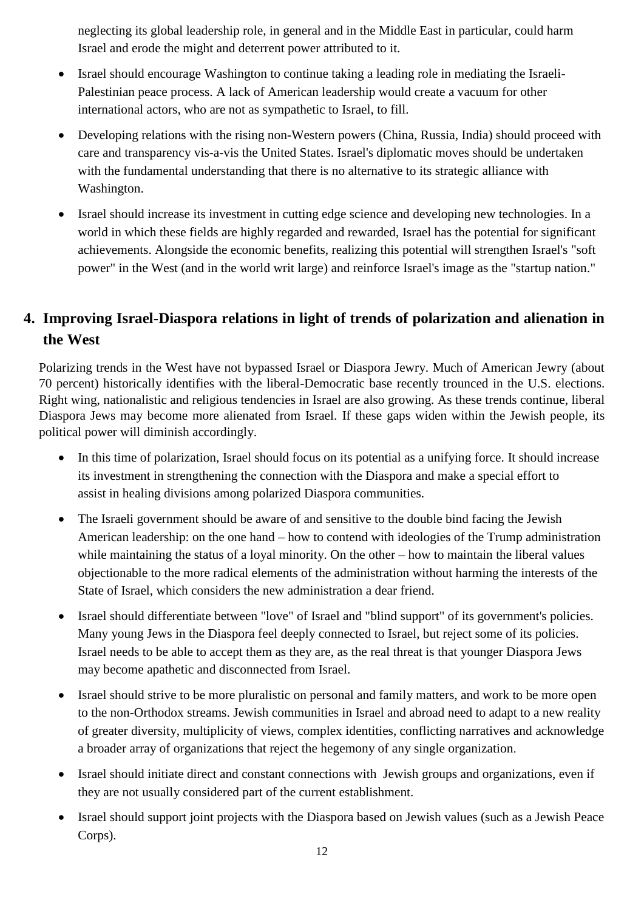neglecting its global leadership role, in general and in the Middle East in particular, could harm Israel and erode the might and deterrent power attributed to it.

- Israel should encourage Washington to continue taking a leading role in mediating the Israeli-Palestinian peace process. A lack of American leadership would create a vacuum for other international actors, who are not as sympathetic to Israel, to fill.
- Developing relations with the rising non-Western powers (China, Russia, India) should proceed with care and transparency vis-a-vis the United States. Israel's diplomatic moves should be undertaken with the fundamental understanding that there is no alternative to its strategic alliance with Washington.
- Israel should increase its investment in cutting edge science and developing new technologies. In a world in which these fields are highly regarded and rewarded, Israel has the potential for significant achievements. Alongside the economic benefits, realizing this potential will strengthen Israel's "soft power" in the West (and in the world writ large) and reinforce Israel's image as the "startup nation."

### **4. Improving Israel-Diaspora relations in light of trends of polarization and alienation in the West**

Polarizing trends in the West have not bypassed Israel or Diaspora Jewry. Much of American Jewry (about 70 percent) historically identifies with the liberal-Democratic base recently trounced in the U.S. elections. Right wing, nationalistic and religious tendencies in Israel are also growing. As these trends continue, liberal Diaspora Jews may become more alienated from Israel. If these gaps widen within the Jewish people, its political power will diminish accordingly.

- In this time of polarization, Israel should focus on its potential as a unifying force. It should increase its investment in strengthening the connection with the Diaspora and make a special effort to assist in healing divisions among polarized Diaspora communities.
- The Israeli government should be aware of and sensitive to the double bind facing the Jewish American leadership: on the one hand – how to contend with ideologies of the Trump administration while maintaining the status of a loyal minority. On the other – how to maintain the liberal values objectionable to the more radical elements of the administration without harming the interests of the State of Israel, which considers the new administration a dear friend.
- Israel should differentiate between "love" of Israel and "blind support" of its government's policies. Many young Jews in the Diaspora feel deeply connected to Israel, but reject some of its policies. Israel needs to be able to accept them as they are, as the real threat is that younger Diaspora Jews may become apathetic and disconnected from Israel.
- Israel should strive to be more pluralistic on personal and family matters, and work to be more open to the non-Orthodox streams. Jewish communities in Israel and abroad need to adapt to a new reality of greater diversity, multiplicity of views, complex identities, conflicting narratives and acknowledge a broader array of organizations that reject the hegemony of any single organization.
- Israel should initiate direct and constant connections with Jewish groups and organizations, even if they are not usually considered part of the current establishment.
- Israel should support joint projects with the Diaspora based on Jewish values (such as a Jewish Peace Corps).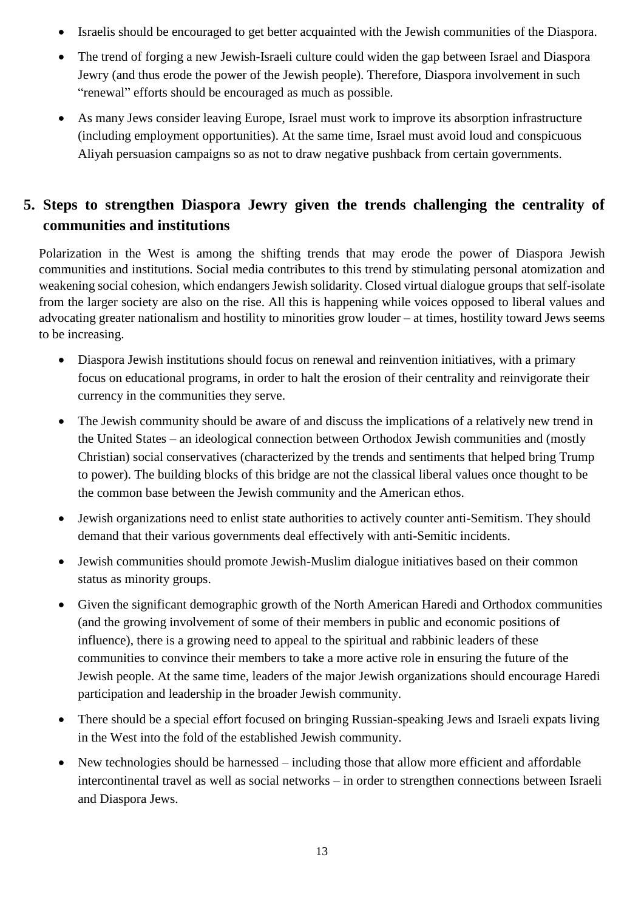- Israelis should be encouraged to get better acquainted with the Jewish communities of the Diaspora.
- The trend of forging a new Jewish-Israeli culture could widen the gap between Israel and Diaspora Jewry (and thus erode the power of the Jewish people). Therefore, Diaspora involvement in such "renewal" efforts should be encouraged as much as possible.
- As many Jews consider leaving Europe, Israel must work to improve its absorption infrastructure (including employment opportunities). At the same time, Israel must avoid loud and conspicuous Aliyah persuasion campaigns so as not to draw negative pushback from certain governments.

### **5. Steps to strengthen Diaspora Jewry given the trends challenging the centrality of communities and institutions**

Polarization in the West is among the shifting trends that may erode the power of Diaspora Jewish communities and institutions. Social media contributes to this trend by stimulating personal atomization and weakening social cohesion, which endangers Jewish solidarity. Closed virtual dialogue groups that self-isolate from the larger society are also on the rise. All this is happening while voices opposed to liberal values and advocating greater nationalism and hostility to minorities grow louder – at times, hostility toward Jews seems to be increasing.

- Diaspora Jewish institutions should focus on renewal and reinvention initiatives, with a primary focus on educational programs, in order to halt the erosion of their centrality and reinvigorate their currency in the communities they serve.
- The Jewish community should be aware of and discuss the implications of a relatively new trend in the United States – an ideological connection between Orthodox Jewish communities and (mostly Christian) social conservatives (characterized by the trends and sentiments that helped bring Trump to power). The building blocks of this bridge are not the classical liberal values once thought to be the common base between the Jewish community and the American ethos.
- Jewish organizations need to enlist state authorities to actively counter anti-Semitism. They should demand that their various governments deal effectively with anti-Semitic incidents.
- Jewish communities should promote Jewish-Muslim dialogue initiatives based on their common status as minority groups.
- Given the significant demographic growth of the North American Haredi and Orthodox communities (and the growing involvement of some of their members in public and economic positions of influence), there is a growing need to appeal to the spiritual and rabbinic leaders of these communities to convince their members to take a more active role in ensuring the future of the Jewish people. At the same time, leaders of the major Jewish organizations should encourage Haredi participation and leadership in the broader Jewish community.
- There should be a special effort focused on bringing Russian-speaking Jews and Israeli expats living in the West into the fold of the established Jewish community.
- New technologies should be harnessed including those that allow more efficient and affordable intercontinental travel as well as social networks – in order to strengthen connections between Israeli and Diaspora Jews.